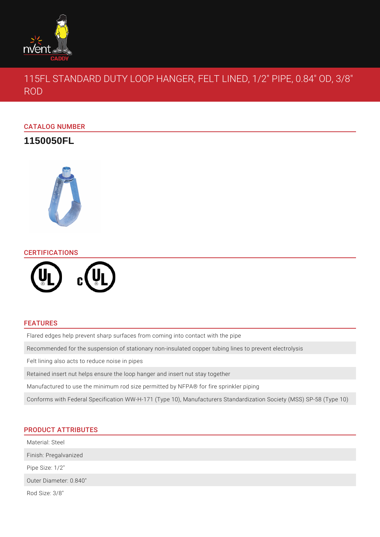

115FL STANDARD DUTY LOOP HANGER, FELT LINED, 1/2" PIPE, 0.84" OD, 3/8" ROD

# CATALOG NUMBER

**1150050FL**



## CERTIFICATIONS



### FEATURES

Flared edges help prevent sharp surfaces from coming into contact with the pipe

Recommended for the suspension of stationary non-insulated copper tubing lines to prevent electrolysis

Felt lining also acts to reduce noise in pipes

Retained insert nut helps ensure the loop hanger and insert nut stay together

Manufactured to use the minimum rod size permitted by NFPA® for fire sprinkler piping

Conforms with Federal Specification WW-H-171 (Type 10), Manufacturers Standardization Society (MSS) SP-58 (Type 10)

# PRODUCT ATTRIBUTES

Material: Steel

Finish: Pregalvanized

Pipe Size: 1/2"

Outer Diameter: 0.840"

Rod Size: 3/8"